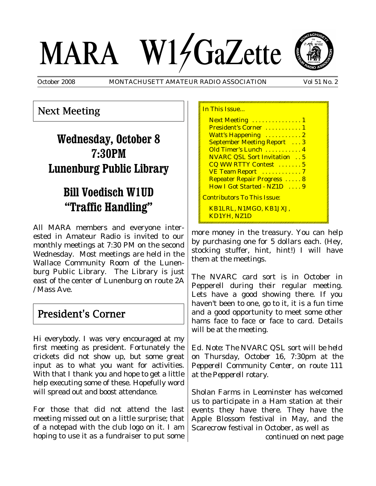# MARA W14GaZette



October 2008 MONTACHUSETT AMATEUR RADIO ASSOCIATION Vol 51 No. 2

<mark>n This Issue</mark>

## Next Meeting

# **Wednesday, October 8 7:30PM Lunenburg Public Library**

# **Bill Voedisch W1UD "Traffic Handling"**

All MARA members and everyone interested in Amateur Radio is invited to our monthly meetings at 7:30 PM on the second Wednesday. Most meetings are held in the Wallace Community Room of the Lunenburg Public Library. The Library is just east of the center of Lunenburg on route 2A / Mass Ave.

## President's Corner

Hi everybody. I was very encouraged at my first meeting as president. Fortunately the crickets did not show up, but some great input as to what you want for activities. With that I thank you and hope to get a little help executing some of these. Hopefully word will spread out and boost attendance.

For those that did not attend the last meeting missed out on a little surprise; that of a notepad with the club logo on it. I am hoping to use it as a fundraiser to put some

| Next Meeting  1                     |  |
|-------------------------------------|--|
| President's Corner  1               |  |
| Watt's Happening  2                 |  |
| <b>September Meeting Report</b> 3   |  |
| Old Timer's Lunch  4                |  |
| <b>NVARC QSL Sort Invitation</b> 5  |  |
| CQ WW RTTY Contest  5               |  |
| VE Team Report 7                    |  |
| <b>Repeater Repair Progress</b> 8   |  |
| How I Got Started - NZ1D 9          |  |
| <u> Contributors To This Issue:</u> |  |
| KB1LRL, N1MGO, KB1JXJ,              |  |
| KD1YH, NZ1D                         |  |
|                                     |  |

more money in the treasury. You can help by purchasing one for 5 dollars each. (Hey, stocking stuffer, hint, hint!) I will have them at the meetings.

The NVARC card sort is in October in Pepperell during their regular meeting. Lets have a good showing there. If you haven't been to one, go to it, it is a fun time and a good opportunity to meet some other hams face to face or face to card. Details will be at the meeting.

*Ed. Note: The NVARC QSL sort will be held on Thursday, October 16, 7:30pm at the Pepperell Community Center, on route 111 at the Pepperell rotary*.

Sholan Farms in Leominster has welcomed us to participate in a Ham station at their events they have there. They have the Apple Blossom festival in May, and the Scarecrow festival in October, as well as

*continued on next page*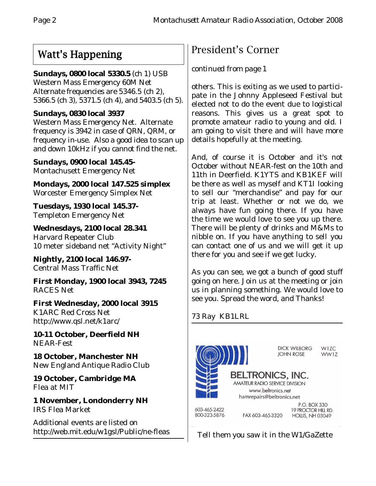# Watt's Happening

## **Sundays, 0800 local 5330.5** (ch 1) USB

Western Mass Emergency 60M Net Alternate frequencies are 5346.5 (ch 2), 5366.5 (ch 3), 5371.5 (ch 4), and 5403.5 (ch 5).

## **Sundays, 0830 local 3937**

Western Mass Emergency Net. Alternate frequency is 3942 in case of QRN, QRM, or frequency in-use. Also a good idea to scan up and down 10kHz if you cannot find the net.

**Sundays, 0900 local 145.45-** Montachusett Emergency Net

**Mondays, 2000 local 147.525 simplex** Worcester Emergency Simplex Net

**Tuesdays, 1930 local 145.37-** Templeton Emergency Net

**Wednesdays, 2100 local 28.341** Harvard Repeater Club 10 meter sideband net "Activity Night"

**Nightly, 2100 local 146.97-** Central Mass Traffic Net

**First Monday, 1900 local 3943, 7245** RACES Net

**First Wednesday, 2000 local 3915** K1ARC Red Cross Net http://www.qsl.net/k1arc/

**10-11 October, Deerfield NH** NEAR-Fest

**18 October, Manchester NH** New England Antique Radio Club

**19 October, Cambridge MA** Flea at MIT

**1 November, Londonderry NH** IRS Flea Market

Additional events are listed on http://web.mit.edu/w1gsl/Public/ne-fleas

# President's Corner

## *continued from page 1*

others. This is exiting as we used to participate in the Johnny Appleseed Festival but elected not to do the event due to logistical reasons. This gives us a great spot to promote amateur radio to young and old. I am going to visit there and will have more details hopefully at the meeting.

And, of course it is October and it's not October without NEAR-fest on the 10th and 11th in Deerfield. K1YTS and KB1KEF will be there as well as myself and KT1I looking to sell our "merchandise" and pay for our trip at least. Whether or not we do, we always have fun going there. If you have the time we would love to see you up there. There will be plenty of drinks and M&Ms to nibble on. If you have anything to sell you can contact one of us and we will get it up there for you and see if we get lucky.

As you can see, we got a bunch of good stuff going on here. Join us at the meeting or join us in planning something. We would love to see you. Spread the word, and Thanks!

73 Ray KB1LRL



Tell them you saw it in the W1/GaZette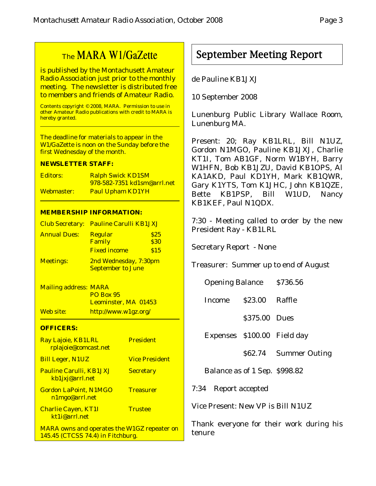## The MARA W1/GaZette

is published by the Montachusett Amateur Radio Association just prior to the monthly meeting. The newsletter is distributed free to members and friends of Amateur Radio.

Contents copyright © 2008, MARA. Permission to use in other Amateur Radio publications with credit to MARA is hereby granted.

The deadline for materials to appear in the W1/GaZette is noon on the Sunday before the first Wednesday of the month.

#### **NEWSLETTER STAFF:**

| Editors:   | <b>Ralph Swick KD1SM</b>           |  |  |
|------------|------------------------------------|--|--|
|            | <u>978-582-7351 kd1sm@arrl.net</u> |  |  |
| Webmaster: | <b>Paul Upham KD1YH</b>            |  |  |

#### **MEMBERSHIP INFORMATION:**

|                     | <b>Club Secretary: Pauline Carulli KB1JXJ</b>     |      |  |  |
|---------------------|---------------------------------------------------|------|--|--|
| <b>Annual Dues:</b> | <b>Regular</b>                                    | \$25 |  |  |
|                     | Family                                            | \$30 |  |  |
|                     | <b>Fixed income</b>                               | \$15 |  |  |
| <b>Meetings:</b>    | 2nd Wednesday, 7:30pm<br><b>September to June</b> |      |  |  |

Mailing address: MARA PO Box 95 Leominster, MA 01453 Web site: http://www.w1gz.org/

#### **OFFICERS:**

| Ray Lajoie, KB1LRL<br>rplajoie@comcast.net                                              | <b>President</b>      |
|-----------------------------------------------------------------------------------------|-----------------------|
| <b>Bill Leger, N1UZ</b>                                                                 | <b>Vice President</b> |
| <b>Pauline Carulli, KB1JXJ</b><br>kb1jxj@arrl.net                                       | <b>Secretary</b>      |
| <b>Gordon LaPoint, N1MGO</b><br>n1mgo@arrl.net                                          | <b>Treasurer</b>      |
| <b>Charlie Cayen, KT1I</b><br>kt1i@arrl.net                                             | <b>Trustee</b>        |
| <b>MARA owns and operates the W1GZ repeater on</b><br>145.45 (CTCSS 74.4) in Fitchburg. |                       |

## September Meeting Report

#### de Pauline KB1JXJ

10 September 2008

Lunenburg Public Library Wallace Room, Lunenburg MA.

Present: 20; Ray KB1LRL, Bill N1UZ, Gordon N1MGO, Pauline KB1JXJ, Charlie KT1I, Tom AB1GF, Norm W1BYH, Barry W1HFN, Bob KB1JZU, David KB1OPS, Al KA1AKD, Paul KD1YH, Mark KB1QWR, Gary K1YTS, Tom K1JHC, John KB1QZE, Bette KB1PSP, Bill W1UD, Nancy KB1KEF, Paul N1QDX.

7:30 - Meeting called to order by the new President Ray - KB1LRL

Secretary Report - None

Treasurer: Summer up to end of August

Income \$23.00 Raffle

\$375.00 Dues

Expenses \$100.00 Field day

\$62.74 Summer Outing

Balance as of 1 Sep. \$998.82

7:34 Report accepted

Vice Present: New VP is Bill N1UZ

Thank everyone for their work during his tenure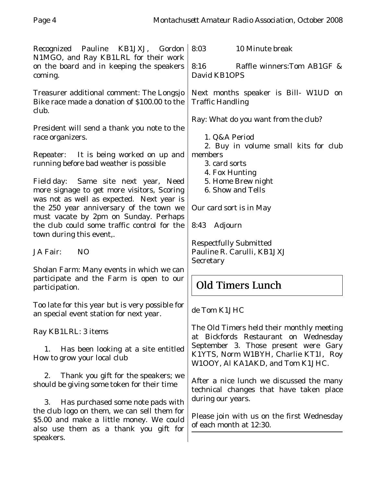Recognized Pauline KB1JXJ, Gordon N1MGO, and Ray KB1LRL for their work on the board and in keeping the speakers coming. Treasurer additional comment: The Longsjo Bike race made a donation of \$100.00 to the club. President will send a thank you note to the race organizers. Repeater: It is being worked on up and running before bad weather is possible Field day: Same site next year, Need more signage to get more visitors, Scoring was not as well as expected. Next year is the 250 year anniversary of the town we must vacate by 2pm on Sunday. Perhaps the club could some traffic control for the town during this event,. JA Fair: NO Sholan Farm: Many events in which we can participate and the Farm is open to our participation. Too late for this year but is very possible for an special event station for next year. Ray KB1LRL: 3 items 1. Has been looking at a site entitled How to grow your local club 2. Thank you gift for the speakers; we should be giving some token for their time 3. Has purchased some note pads with 8:03 10 Minute break 8:16 Raffle winners:Tom AB1GF & David KB1OPS Next months speaker is Bill- W1UD on Traffic Handling Ray: What do you want from the club? 1. Q&A Period 2. Buy in volume small kits for club members 3. card sorts 4. Fox Hunting 5. Home Brew night 6. Show and Tells Our card sort is in May 8:43 Adjourn Respectfully Submitted Pauline R. Carulli, KB1JXJ **Secretary** Old Timers Lunch de Tom K1JHC The Old Timers held their monthly meeting at Bickfords Restaurant on Wednesday September 3. Those present were Gary K1YTS, Norm W1BYH, Charlie KT1I, Roy W1OOY, Al KA1AKD, and Tom K1JHC. After a nice lunch we discussed the many technical changes that have taken place during our years.

the club logo on them, we can sell them for \$5.00 and make a little money. We could also use them as a thank you gift for

speakers.

Please join with us on the first Wednesday of each month at 12:30.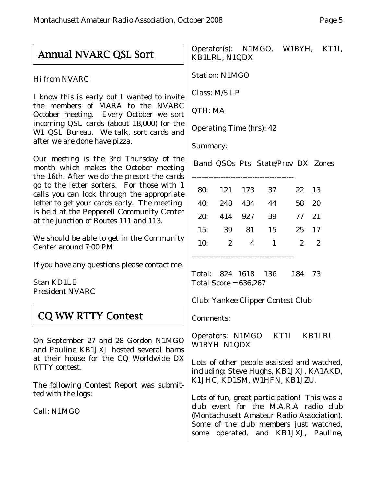## Annual NVARC QSL Sort

Hi from NVARC

I know this is early but I wanted to invite the members of MARA to the NVARC October meeting. Every October we sort incoming QSL cards (about 18,000) for the W1 QSL Bureau. We talk, sort cards and after we are done have pizza.

Our meeting is the 3rd Thursday of the month which makes the October meeting the 16th. After we do the presort the cards go to the letter sorters. For those with 1 calls you can look through the appropriate letter to get your cards early. The meeting is held at the Pepperell Community Center at the junction of Routes 111 and 113.

We should be able to get in the Community Center around 7:00 PM

If you have any questions please contact me.

Stan KD1LE President NVARC

## **CQ WW RTTY Contest**

On September 27 and 28 Gordon N1MGO and Pauline KB1JXJ hosted several hams at their house for the CQ Worldwide DX RTTY contest.

The following Contest Report was submitted with the logs:

Call: N1MGO

## Operator(s): N1MGO, W1BYH, KT1I, KB1LRL, N1QDX

Station: N1MGO

Class: M/S LP

QTH: MA

Operating Time (hrs): 42

Summary:

Band QSOs Pts State/Prov DX Zones

------------------------------------------

| 80: | 121 173      |     | - 37           | 22 13       |                |
|-----|--------------|-----|----------------|-------------|----------------|
| 40: | 248 434      |     | -44            | 58 20       |                |
| 20: | 414          | 927 | -39            | 77 21       |                |
| 15: | 39           | 81  | 15             | 25 17       |                |
| 10: | $\mathbf{2}$ | 4   | $\overline{1}$ | $2^{\circ}$ | $\overline{2}$ |
|     |              |     |                |             |                |

Total: 824 1618 136 184 73 Total Score = 636,267

Club: Yankee Clipper Contest Club

Comments:

Operators: N1MGO KT1I KB1LRL W1BYH N1QDX

Lots of other people assisted and watched, including: Steve Hughs, KB1JXJ, KA1AKD, K1JHC, KD1SM, W1HFN, KB1JZU.

Lots of fun, great participation! This was a club event for the M.A.R.A radio club (Montachusett Amateur Radio Association). Some of the club members just watched, some operated, and KB1JXJ, Pauline,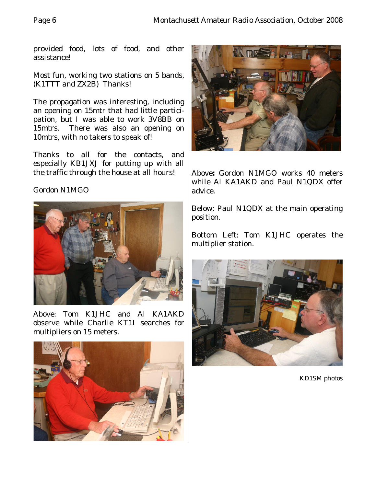provided food, lots of food, and other assistance!

Most fun, working two stations on 5 bands, (K1TTT and ZX2B) Thanks!

The propagation was interesting, including an opening on 15mtr that had little participation, but I was able to work 3V8BB on 15mtrs. There was also an opening on 10mtrs, with no takers to speak of!

Thanks to all for the contacts, and especially KB1JXJ for putting up with all the traffic through the house at all hours!

## Gordon N1MGO



Above: Tom K1JHC and Al KA1AKD observe while Charlie KT1I searches for multipliers on 15 meters.





Above**:** Gordon N1MGO works 40 meters while Al KA1AKD and Paul N1QDX offer advice.

Below: Paul N1QDX at the main operating position.

Bottom Left: Tom K1JHC operates the multiplier station.



KD1SM photos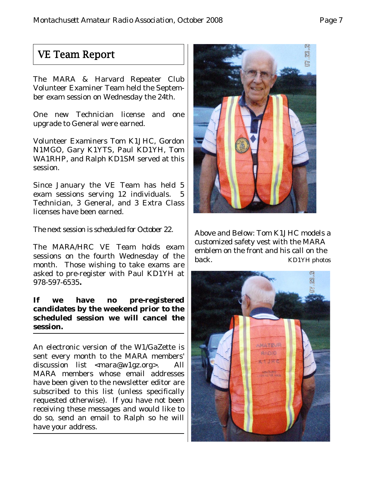## VE Team Report

The MARA & Harvard Repeater Club Volunteer Examiner Team held the September exam session on Wednesday the 24th.

One new Technician license and one upgrade to General were earned.

Volunteer Examiners Tom K1JHC, Gordon N1MGO, Gary K1YTS, Paul KD1YH, Tom WA1RHP, and Ralph KD1SM served at this session.

Since January the VE Team has held 5 exam sessions serving 12 individuals. 5 Technician, 3 General, and 3 Extra Class licenses have been earned.

The next session is scheduled for October 22.

The MARA/HRC VE Team holds exam sessions on the fourth Wednesday of the month. Those wishing to take exams are asked to pre-register with Paul KD1YH at 978-597-6535**.**

## **If we have no pre-registered candidates by the weekend prior to the scheduled session we will cancel the session.**

An electronic version of the W1/GaZette is sent every month to the MARA members' discussion list <mara@w1gz.org>. All MARA members whose email addresses have been given to the newsletter editor are subscribed to this list (unless specifically requested otherwise). If you have not been receiving these messages and would like to do so, send an email to Ralph so he will have your address.



Above and Below: Tom K1JHC models a customized safety vest with the MARA emblem on the front and his call on the back. KD1YH photos

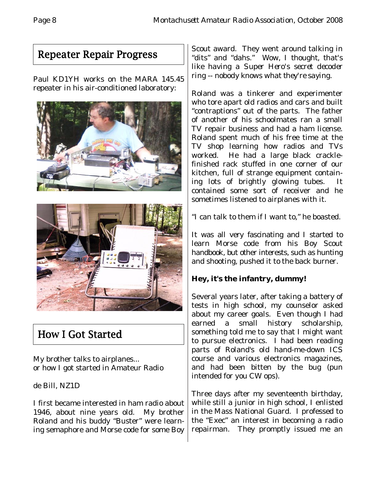# Repeater Repair Progress

Paul KD1YH works on the MARA 145.45 repeater in his air-conditioned laboratory:



# How I Got Started

My brother talks to airplanes... or how I got started in Amateur Radio

de Bill, NZ1D

I first became interested in ham radio about 1946, about nine years old. My brother Roland and his buddy "Buster" were learning semaphore and Morse code for some Boy

Scout award. They went around talking in "dits" and "dahs." *Wow, I thought, that's like having a Super Hero's secret decoder ring -- nobody knows what they're saying.*

Roland was a tinkerer and experimenter who tore apart old radios and cars and built "contraptions" out of the parts. The father of another of his schoolmates ran a small TV repair business and had a ham license. Roland spent much of his free time at the TV shop learning how radios and TVs worked. He had a large black cracklefinished rack stuffed in one corner of our kitchen, full of strange equipment containing lots of brightly glowing tubes. It contained some sort of receiver and he sometimes listened to airplanes with it.

"I can talk to them if I want to," he boasted.

It was all very fascinating and I started to learn Morse code from his Boy Scout handbook, but other interests, such as hunting and shooting, pushed it to the back burner.

## **Hey, it's the infantry, dummy!**

Several years later, after taking a battery of tests in high school, my counselor asked about my career goals. Even though I had earned a small history scholarship, something told me to say that I might want to pursue electronics. I had been reading parts of Roland's old hand-me-down ICS course and various electronics magazines, and had been bitten by the bug (pun intended for you CW ops).

Three days after my seventeenth birthday, while still a junior in high school, I enlisted in the Mass National Guard. I professed to the "Exec" an interest in becoming a radio repairman. They promptly issued me an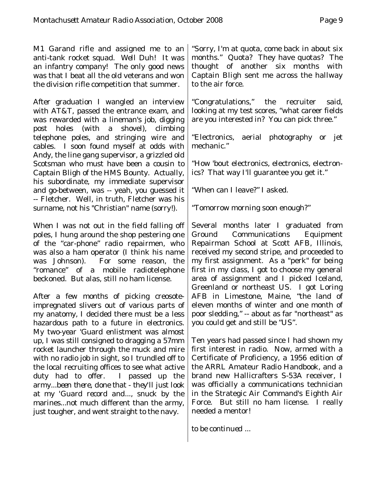M1 Garand rifle and assigned me to an anti-tank rocket squad. *Well Duh! It was an infantry company!* The only good news was that I beat all the old veterans and won the division rifle competition that summer.

After graduation I wangled an interview with AT&T, passed the entrance exam, and was rewarded with a lineman's job, digging post holes (with a shovel), climbing telephone poles, and stringing wire and cables. I soon found myself at odds with Andy, the line gang supervisor, a grizzled old Scotsman who must have been a cousin to Captain Bligh of the HMS Bounty. Actually, his subordinate, my immediate supervisor and go-between, was -- yeah, you guessed it -- Fletcher. Well, in truth, Fletcher was his surname, not his "Christian" name (sorry!).

When I was not out in the field falling off poles, I hung around the shop pestering one of the "car-phone" radio repairmen, who was also a ham operator (I think his name was Johnson). For some reason, the "romance" of a mobile radiotelephone beckoned. But alas, still no ham license.

After a few months of picking creosoteimpregnated slivers out of various parts of my anatomy, I decided there must be a less hazardous path to a future in electronics. My two-year 'Guard enlistment was almost up, I was still consigned to dragging a 57mm rocket launcher through the muck and mire with no radio job in sight, so I trundled off to the local recruiting offices to see what active duty had to offer. I passed up the army...*been there, done that - they'll just look at my 'Guard record and*..., snuck by the marines...not much different than the army, just tougher, and went straight to the navy.

"Sorry, I'm at quota, come back in about six months." Quota? They have quotas? The thought of another six months with Captain Bligh sent me across the hallway to the air force.

"Congratulations," the recruiter said, looking at my test scores, "what career fields are you interested in? You can pick three."

"Electronics, aerial photography or jet mechanic."

"How 'bout electronics, electronics, electronics? That way I'll guarantee you get it."

"When can I leave?" I asked.

"Tomorrow morning soon enough?"

Several months later I graduated from Ground Communications Equipment Repairman School at Scott AFB, Illinois, received my second stripe, and proceeded to my first assignment. As a "perk" for being first in my class, I got to choose my general area of assignment and I picked Iceland, Greenland or northeast US. I got Loring AFB in Limestone, Maine, "the land of eleven months of winter and one month of poor sledding," -- about as far "northeast" as you could get and still be "US".

Ten years had passed since I had shown my first interest in radio. Now, armed with a Certificate of Proficiency, a 1956 edition of the ARRL Amateur Radio Handbook, and a brand new Hallicrafters S-53A receiver, I was officially a communications technician in the Strategic Air Command's Eighth Air Force. But still no ham license. I really needed a mentor!

*to be continued ...*